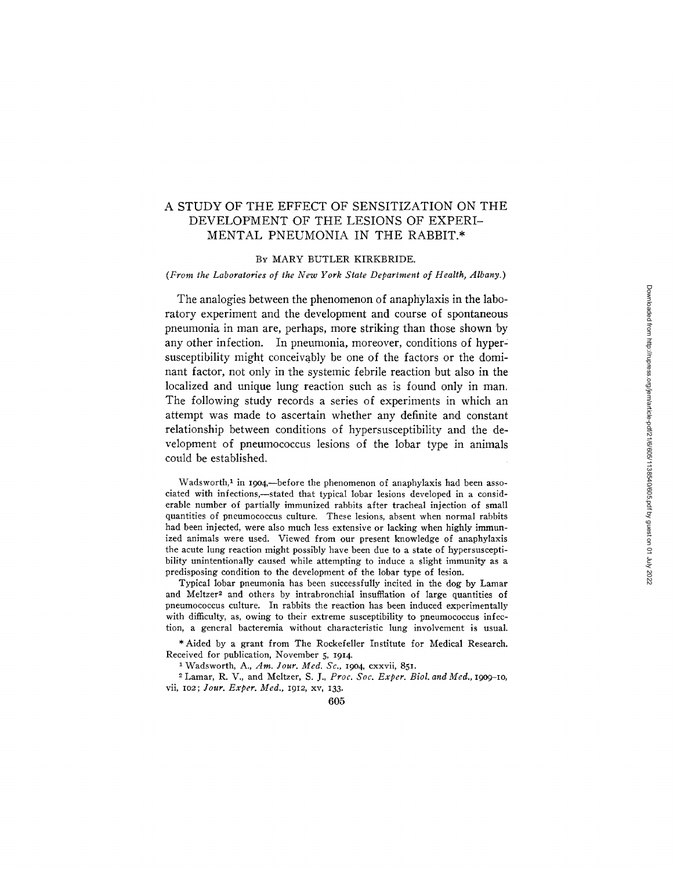# A STUDY OF THE EFFECT OF SENSITIZATION ON THE DEVELOPMENT OF THE LESIONS OF EXPERI-MENTAL PNEUMONIA IN THE RABBIT.\*

## BY MARY BUTLER KIRKBRIDE.

### *(From the Laboratories of the New York State Department of Health, Albany.)*

**The analogies between the phenomenon of anaphylaxis in the laboratory experiment and the development and course of spontaneous pneumonia in man are, perhaps, more striking than those shown 'by any other infection. In pneumonia, moreover, conditions of hyper**susceptibility might conceivably be one of the factors or the domi**nant factor, not only in the systemic febrile reaction but also in the localized and unique lung reaction such as is found only in man. The following study records a series of experiments in which an attempt was made to ascertain whether any definite and constant relationship between conditions of hypersusceptibility and the development of pneumococcus lesions of the lobar type in animals could be established.** 

Wadsworth,<sup>1</sup> in 1904,--before the phenomenon of anaphylaxis had been associated with infections,-stated that typical lobar lesions developed in a considerable number of partially immunized rabbits after tracheal injection of small quantities of pneumococcus culture. These lesions, absent when normal rabbits had been injected, were also much less extensive or lacking when highly immunized animals were used. Viewed from our present knowledge of anaphylaxis the acute lung reaction might possibly have been due to a state of hypersuseeptibility unintentionally caused while attempting to induce a slight immunity as a predisposing condition to the development of the lobar type of lesion.

Typical lobar pneumonia has been successfully incited in the dog by Lamar and Meltzer<sup>2</sup> and others by intrabronchial insufflation of large quantities of pneumococcus culture. In rabbits the reaction has been induced experimentally with difficulty, as, owing to their extreme susceptibility to pneumococcus infection, a general bacteremia without characteristic lung involvement is usual.

\*Aided by a grant from The Rockefeller Institute for Medical Research. Received for publication, November 5, I914.

1 Wadsworth, A., *Am. Jour. Med. Sc.,* 19o4, cxxvii, 851.

2 Lamar, R. V., and Meltzer, S. J., *Proc. Soc. Exper. Biol. and Med.,* 19o9-1o, vii, 102; *Jour. Exper. Med.*, 1912, xv, 133.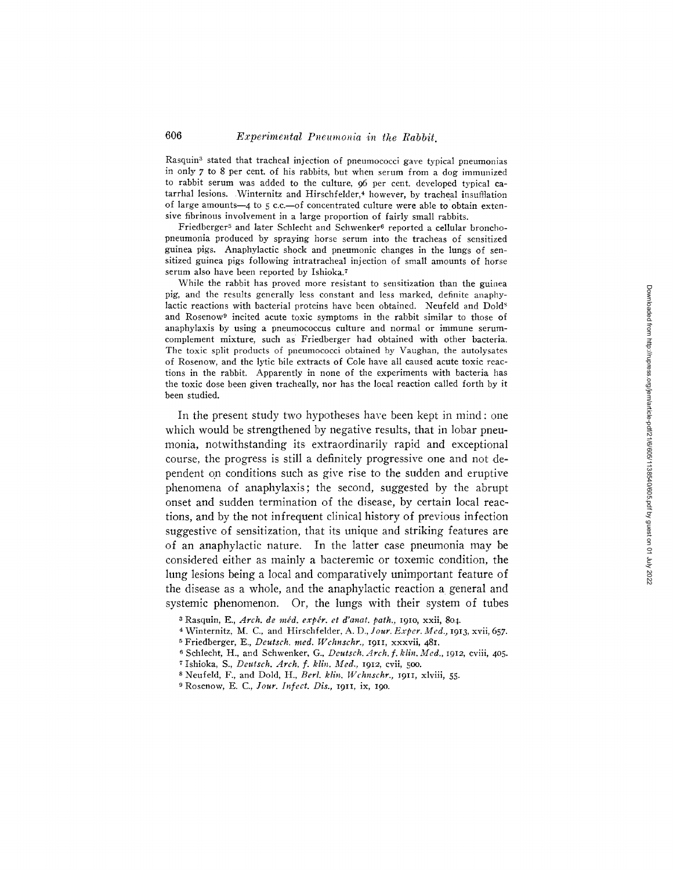Rasquin<sup>3</sup> stated that tracheal injection of pneumococci gave typical pneumonias in only 7 to 8 per cent. of his rabbits, but when serum from a dog immunized to rabbit serum was added to the culture, 96 per cent. developed typical catarrhal lesions. Winternitz and Hirschfelder,<sup>4</sup> however, by tracheal insufflation of large amounts- $-4$  to 5 c.c.--of concentrated culture were able to obtain extensive fibrinous involvement in a large proportion of fairly small rabbits.

Friedberger<sup>5</sup> and later Schlecht and Schwenker<sup>6</sup> reported a cellular bronchopneumonia produced by spraying horse serum into the tracheas of sensitized guinea pigs. Anaphylactic shock and pneumonic changes in the lungs of sensitized guinea pigs following intratracheal injection of small amounts of horse serum also have been reported by Ishioka.7

While the rabbit has proved more resistant to sensitization than the guinea pig, and the results generally less constant and less marked, definite anaphylactic reactions with bacterial proteins have been obtained. Neufeld and Dold<sup>s</sup> and Rosenow<sup>9</sup> incited acute toxic symptoms in the rabbit similar to those of anaphylaxis by using a pneumococcus culture and normal or immune serumcomplement mixture, such as Friedberger had obtained with other bacteria. The toxic split products of pneumococci obtained by Vaughan, the autolysates of Rosenow, and the lyric bile extracts of Cole have all caused acute toxic reactions in the rabbit. Apparently in none of the experiments with bacteria has the toxic dose been given tracheally, nor has the local reaction called forth by it been studied.

In the present study two hypotheses have been kept in mind: one which would be strengthened by negative results, that in lobar pneumonia, notwithstanding its extraordinarily rapid and exceptional course, the progress is still a definitely progressive one and not dependent on conditions such as give rise to the sudden and eruptive phenomena of anaphylaxis; the second, suggested by the abrupt onset and sudden termination of the disease, by certain local reactions, and by the not infrequent clinical history of previous infection suggestive of sensitization, that its unique and striking features are of an anaphylactic nature. In the latter case pneumonia may be considered either as mainly a bacteremic or toxemic condition, the lung lesions being a local and comparatively unimportant feature of the disease as a whole, and the anaphylactic reaction a general and systemic phenomenon. Or, the lungs with their system of tubes

<sup>4</sup> Winternitz, M. C., and Hirschfelder, A. D., *Jour. Exper. Med.*, 1913, xvii, 657.

- 6 Schlecht, H., and Schwenker, G., *Deutseh. Arch. f. klin. Med.,* I912, cviii, 405.
- <sup>7</sup> Ishioka, S., *Deutsch. Arch. f. klin. Med.*, 1912, cvii, 500.
- <sup>8</sup> Neufeld, F., and Dold, H., *Berl. klin. Wchnschr.*, 1911, xlviii, 55.
- 9 Rosenow, E. C., *Your. Infect. Dis.,* I9IX, ix, I9O.

<sup>&</sup>lt;sup>3</sup> Rasquin, E., Arch. de méd. expér. et d'anat, path., 1910, xxii, 804.

<sup>&</sup>lt;sup>5</sup> Friedberger, E., *Deutsch. med. Wchnschr.*, 1911, xxxvii, 481.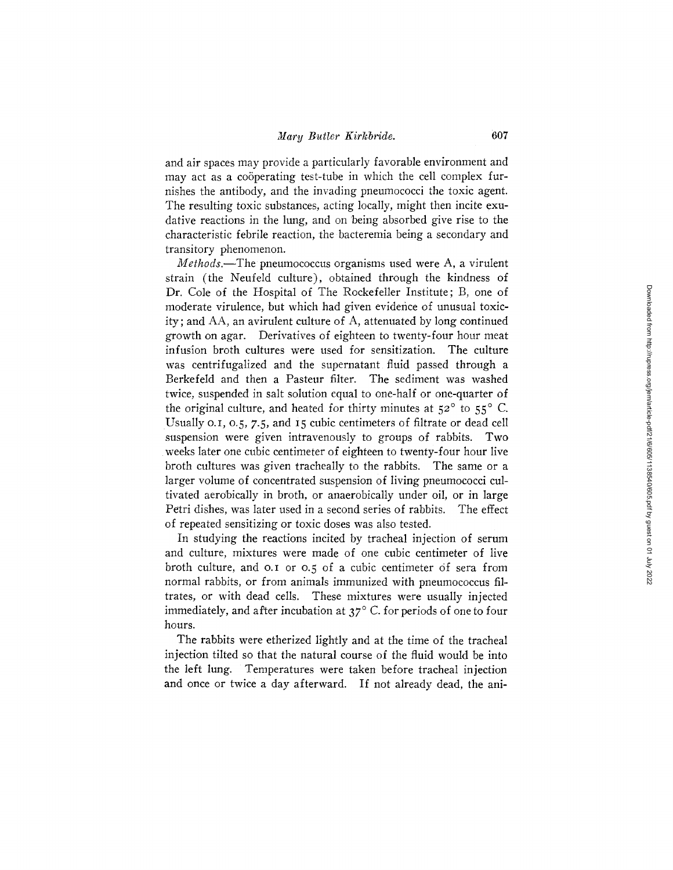and air spaces may provide a particularly favorable environment and may act as a cooperating test-tube in which the cell complex furnishes the antibody, and the invading pneumococci the toxic agent. The resulting toxic substances, acting locally, might then incite exudative reactions in the lung, and on being absorbed give rise to the characteristic febrile reaction, the bacteremia being a secondary and transitory phenomenon.

*Methods.--The* pneumococcus organisms used were A, a virulent strain (the Neufeld culture), obtained through the kindness of Dr. Cole of the Hospital of The Rockefeller Institute; B, one of moderate virulence, but which had given evidence of unusual toxicity; and AA, an avirulent culture of A, attenuated by long continued growth on agar. Derivatives of eighteen to twenty-four hour meat infusion broth cultures were used for sensitization. The culture was centrifugalized and the supernatant fluid passed through a Berkefeld and then a Pasteur filter. The sediment was washed twice, suspended in salt solution equal to one-half or one-quarter of the original culture, and heated for thirty minutes at  $52^{\circ}$  to  $55^{\circ}$  C. Usually o.I, o.5, 7-5, and 15 cubic centimeters of filtrate or dead cell suspension were given intravenously to groups of rabbits. Two weeks later one cubic centimeter of eighteen to twenty-four hour live broth cultures was given tracheally to the rabbits. The same or a larger volume of concentrated suspension of living pneumococci cultivated aerobically in broth, or anaerobically under oil, or in large Petri dishes, was later used in a second series of rabbits. The effect of repeated sensitizing or toxic doses was also tested.

In studying the reactions incited by tracheal injection of serum and culture, mixtures were made of one cubic centimeter of live broth culture, and o.1 or 0.5 of a cubic centimeter of sera from normal rabbits, or from animals immunized with pneumococcus filtrates, or with dead cells. These mixtures were usually injected immediately, and after incubation at  $37^{\circ}$  C. for periods of one to four hours.

The rabbits were etherized lightly and at the time of the tracheal injection tilted so that the natural course of the fluid would be into the left lung. Temperatures were taken before tracheal injection and once or twice a day afterward. If not already dead, the ani-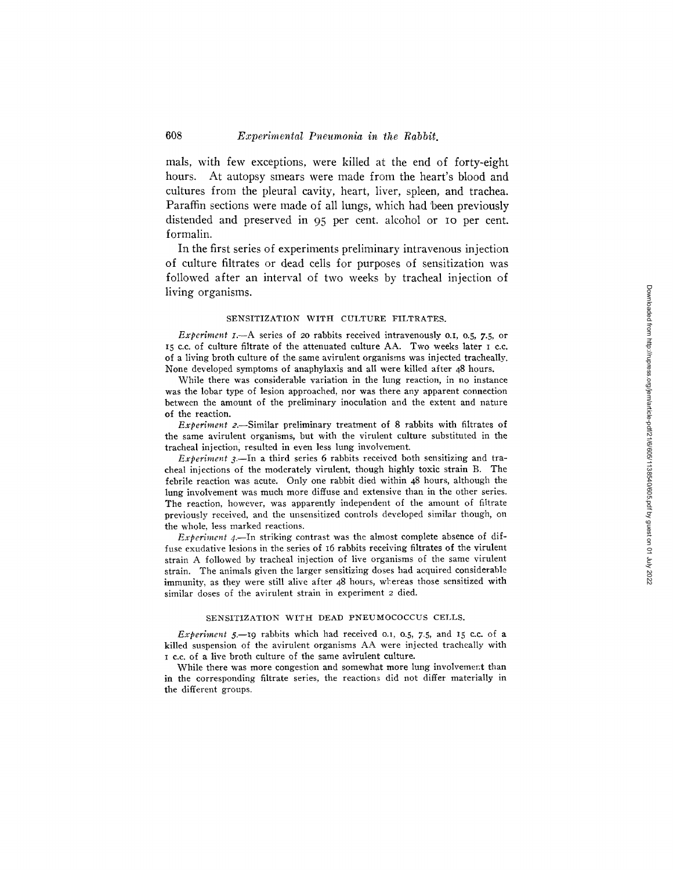**mals, with few exceptions, were killed at the end of forty-eight hours. At autopsy smears were made from the heart's blood and cultures from the pleurat cavity, heart, liver, spleen, and trachea. Paraffin sections were made of all lungs, which had 'been previously distended and preserved in 95 per cent. alcohol or IO per cent. formalin.** 

**In the first series of experiments preliminary intravenous injection of culture filtrates or dead cells for purposes of sensitization was followed after an interval of two weeks by tracheal injection of living organisms.** 

### SENSITIZATION WITH CULTURE FILTRATES.

*Experiment I.--A* series of 20 rabbits received intravenously o.I, 0.5, 7.5, or I5 c.e. of culture filtrate of the attenuated culture AA. Two weeks later I c.c. of a living broth culture of the same avirulent organisms was injected tracheally. None developed symptoms of anaphylaxis and all were killed after 48 hours.

While there was considerable variation in the lung reaction, in no instance was the lobar type of lesion approached, nor was there any apparent connection between the amount of the preliminary inoculation and the extent and nature of the reaction.

*Experiment 2.*-Similar preliminary treatment of 8 rabbits with filtrates of the same avirulent organisms, but with the virulent culture substituted in the tracheal injection, resulted in even less lung involvement.

*Experiment 3.*-In a third series 6 rabbits received both sensitizing and tracheal injections of the moderately virulent, though highly toxic strain 13. The febrile reaction was acute. Only one rabbit died within 48 hours, although the lung involvement was much more diffuse and extensive than in the other series. The reaction, however, was apparently independent of the amount of filtrate previously received, and the unsensitized controls developed similar though, on the whole, less marked reactions.

*Experiment 4*.--In striking contrast was the almost complete absence of diffuse exudative lesions in the series of 16 rabbits receiving filtrates of the virulent strain A followed by tracheal injection of live organisms of the same virulent strain. The animals given the larger sensitizing doses had acquired considerable immunity, as they were still alive after 48 hours, whereas those sensitized with similar doses of the avirulent strain in experiment 2 died.

#### SENSITIZATION WITH DEAD PNEUMOCOCCUS CELLS.

*Experiment 5.*-19 rabbits which had received 0.1, 0.5, 7.5, and 15 c.c. of a killed suspension of the avirulent organisms AA were injected tracheally with I c.c. of a live broth culture of the same avirulent culture.

While there was more congestion and somewhat more lung involvement than in the corresponding filtrate series, the reactions did not differ materially in the different groups.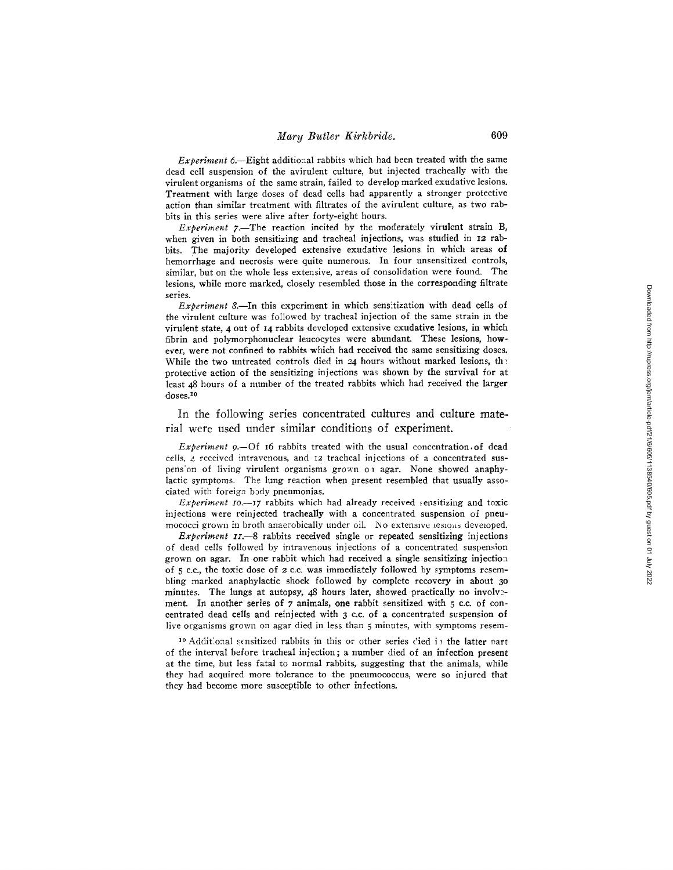*Experiment 6.*—Eight additional rabbits which had been treated with the same dead cell suspension of the avirulent culture, but injected tracheally with the virulent organisms of the same strain, failed to develop marked exudative lesions. Treatment with large doses of dead cells had apparently a stronger protective action than similar treatment with filtrates of the avirulent culture, as two rabbits in this series were alive after forty-eight hours.

*Experiment 7.*-The reaction incited by the moderately virulent strain B, when given in both sensitizing and tracheal injections, was studied in I2 rabbits. The majority developed extensive exudative lesions in which areas of hemorrhage and necrosis were quite numerous. In four unsensitized controls, similar, but on the whole less extensive, areas of consolidation were found. The lesions, while more marked, closely resembled those in the corresponding filtrate series.

*Experiment 8.*--In this experiment in which sensitization with dead cells of the virulent culture was followed by tracheal injection of the same strain in the virulent state, 4 out of 14 rabbits developed extensive exudative lesions, in which fibrin and polymorphonuelear leucocytes were abundant. These lesions, however, were not confined to rabbits which had received the same sensitizing doses. While the two untreated controls died in 24 hours without marked lesions, the protective action of the sensitizing injections was shown by the survival for at least 48 hours of a number of the treated rabbits which had received the larger doses.<sup>10</sup>

In the following series concentrated cultures and culture material were used under similar conditions of experiment.

*Experiment 9.* $-$ Of 16 rabbits treated with the usual concentration.of dead cells, 4 received intravenous, and 12 tracheal injections of a concentrated suspens'on of living virulent organisms grown o i agar. None showed anaphylactic symptoms. The lung reaction when present resembled that usually associated with foreign body pneumonias.

*Experiment 10.*-17 rabbits which had already received sensitizing and toxic injections were reinjected tracheally with a Concentrated suspension of pneumococci grown in broth anaerobically under oil. No extensive resions developed,

*Experiment IL---8* rabbits received single or repeated sensitizing injections of dead cells followed by intravenous injections of a concentrated suspension grown on agar. In one rabbit which had received a single sensitizing injection of 5 c.c., the toxic dose of 2 c.c. was immediately followed by symptoms resembling marked anaphylactic shock followed by complete recovery in about 30 minutes. The lungs at autopsy, 48 hours later, showed practically no involvement. In another series of 7 animals, one rabbit sensitized with 5 c.c. of concentrated dead cells and reinjected with 3 c.e. of a concentrated suspension of live organisms grown on agar died in less than 5 minutes, with symptoms resem-

 $10$  Additional sensitized rabbits in this or other series died in the latter nart of the interval before tracheal injection; a number died of an infection present at the time, but less fatal to normal rabbits, suggesting that the animals, while they had acquired more tolerance to the pnenmococcus, were so injured that they had become more susceptible to other infections.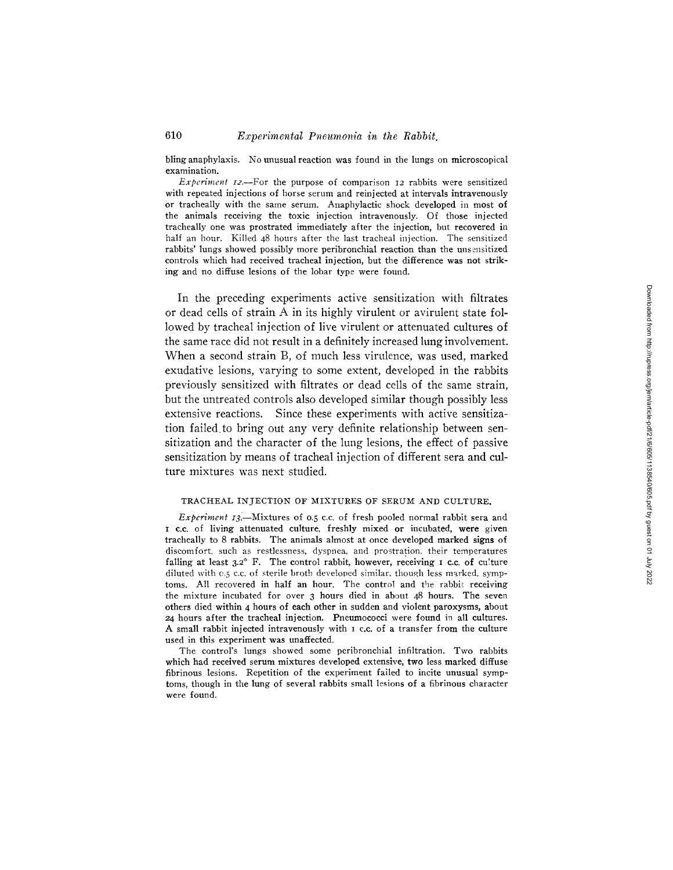bling anaphylaxis. No unusual reaction was found in the lungs on microscopical examination.

*Experiment 12*.—For the purpose of comparison 12 rabbits were sensitized with repeated injections of horse serum and reinjected at intervals intravenously or tracheally with the same serum. Anaphylactic shock developed in most of the animals receiving the toxic injection intravenously. Of those injected tracheally one was prostrated immediately after the injection, but recovered in half an hour. Killed 48 hours after the last tracheal injection. The sensitized rabbits' lungs showed possibly more peribronchial reaction than the unsensitized controls which had received tracheal injection, but the difference was not striking and no diffuse lesions of the lobar type were found.

In the preceding experiments active sensitization with filtrates or dead cells of strain A in its highly virulent or avirulent state followed by tracheal injection of live virulent or attenuated cultures of the same race did not result in a definitely increased lung involvement. When a second strain B, of much less virulence, was used, marked exudative lesions, varying to some extent, developed in the rabbits previously sensitized with filtrates or dead cells of the same strain, but the untreated controls also developed similar though possibly less extensive reactions. Since these experiments with active sensitization failed.to bring out any very definite relationship between sensitization and the character of the lung lesions, the effect of passive sensitization by means of tracheal injection of different sera and culture mixtures was next studied.

## TRACHEAL INJECTION OF MIXTURES OF SERUM AND CULTURE.

*Experiment 13*,—Mixtures of 0.5 c.c. of fresh pooled normal rabbit sera and I c.c. of living attenuated culture, freshly mixed or incubated, were given tracheally to 8 rabbits. The animals almost at once developed marked signs of discomfort, such as restlessness, dyspnea, and prostration, their temperatures falling at least  $3.2^{\circ}$  F. The control rabbit, however, receiving I c.c. of culture diluted with e.5 c.c. of sterile broth developed similar, though less marked, symptoms. All recovered in half an hour. The control and the rabbit receiving the mixture incubated for over 3 hours died in about 48 hours. The seven others died within 4 hours of each other in sudden and violent paroxysms, about 24 hours after the tracheal injection. Pneumococci were found in all cultures. A small rabbit injected intravenously with i e.c. of a transfer from the culture used in this experiment was unaffected.

The control's lungs showed some peribronchial infiltration. Two rabbits which had received serum mixtures developed extensive, two less marked diffuse fibrinous lesions. Repetition of the experiment failed to incite unusual symptoms, though in the lung of several rabbits small lesions of a fibrinous character were found.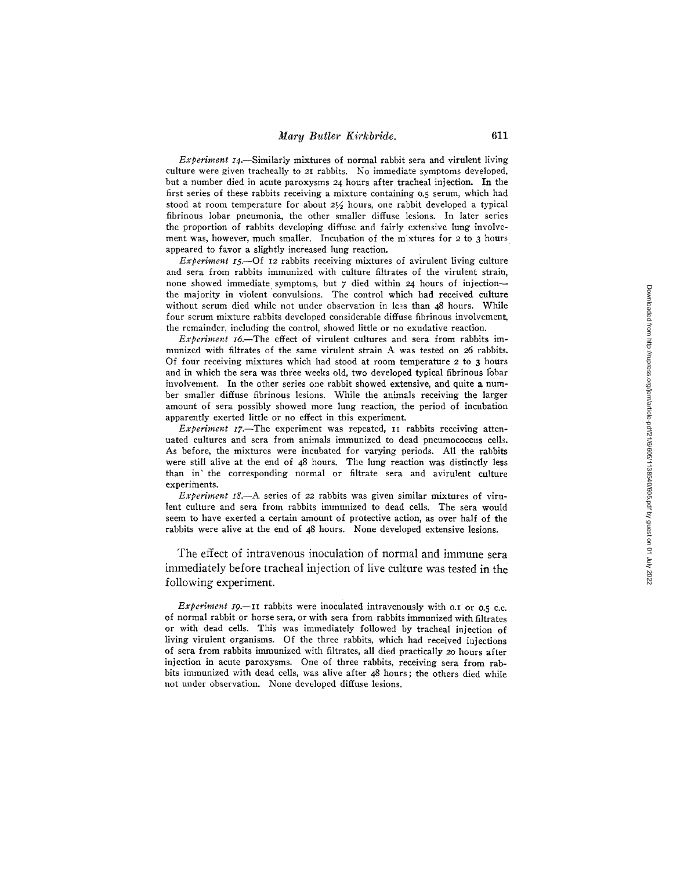*Experiment 14*.—Similarly mixtures of normal rabbit sera and virulent living culture were given tracheally to 21 rabbits. No immediate symptoms developed, but a number died in acute paroxysms 24 hours after tracheal injection. In the first series of these rabbits receiving a mixture containing o.5 serum, which had stood at room temperature for about  $2\frac{1}{2}$  hours, one rabbit developed a typical fibrinous lobar pneumonia, the other smaller diffuse lesions. In later series the proportion of rabbits developing diffuse and fairly extensive lung involvement was, however, much smaller. Incubation of the mixtures for 2 to 3 hours appeared to favor a slightly increased lung reaction.

*Experiment 15.*--Of 12 rabbits receiving mixtures of avirulent living culture and sera from rabbits immunized with culture filtrates of the virulent strain, none showed immediate symptoms, but  $7$  died within 24 hours of injection-the majority in violent convulsions. The control which had received culture without serum died while not under observation in less than 48 hours. While four serum mixture rabbits developed considerable diffuse fibrinous involvement, the remainder, including the control, showed little or no exudative reaction.

*Experiment 16.*-The effect of virulent cultures and sera from rabbits immunized with filtrates of the same virulent strain A was tested on 26 rabbits. Of four receiving mixtures which had stood at room temperature 2 to 3 hours and in which the sera was three weeks old, two developed typical fibrinous lobar involvement. In the other series one rabbit showed extensive, and quite a number smaller diffuse fibrinous lesions. While the animals receiving the larger amount of sera possibly showed more lung reaction, the period of incubation apparently exerted little or no effect in this experiment.

*Experiment*  $I7$ —The experiment was repeated,  $II$  rabbits receiving attenuated cultures and sera from animals immunized to dead pneumococcus cells. As before, the mixtures were incubated for varying periods. All the rabbits were still alive at the end of 48 hours. The lung reaction was distinctly less than in the corresponding normal or filtrate sera and avirulent culture experiments.

*Experiment z8.--A* series of 22 rabbits was given similar mixtures of virulent culture and sera from rabbits immunized to dead cells. The sera would seem to have exerted a certain amount of protective action, as over half of the rabbits were alive at the end of 48 hours. None developed extensive lesions.

The effect of intravenous inoculation of normal and immune sera immediately before tracheal injection of live culture was tested in the following experiment.

*Experiment*  $19.$  $-11$  rabbits were inoculated intravenously with 0.1 or 0.5 c.c. of normal rabbit or horse sera, or with sera from rabbits immunized with filtrates or with dead cells. This was immediately followed by tracheal injection of living virulent organisms. Of the three rabbits, which had received injections of sera from rabbits immunized with filtrates, all died practically 20 hours after injection in acute paroxysms. One of three rabbits, receiving sera from rabbits immunized with dead cells, was alive after 48 hours; the others died while not under observation. None developed diffuse lesions.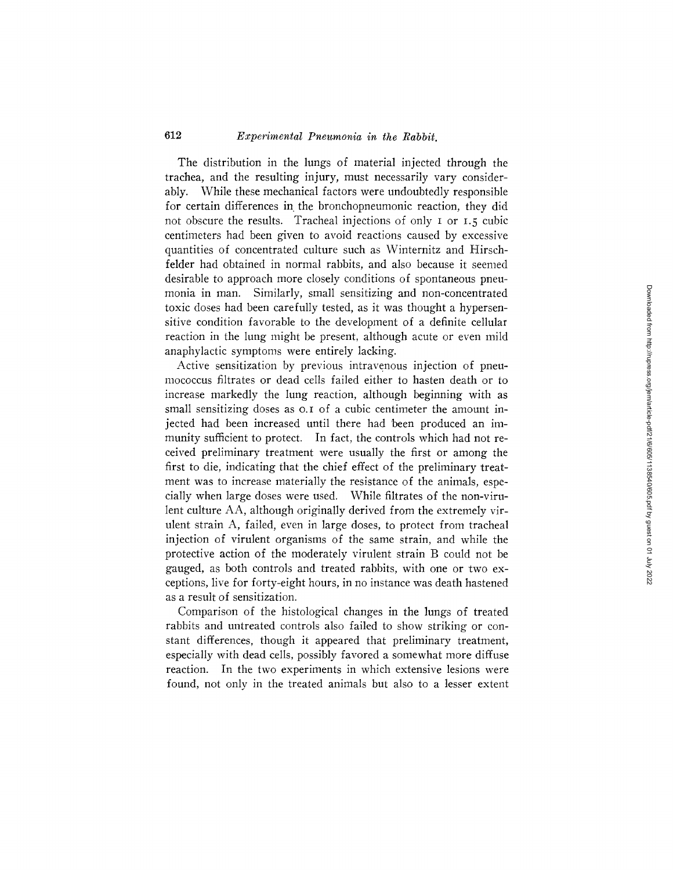# 612 *Experimental Pneumonia in the Rabbit.*

The distribution in the lungs of material injected through the trachea, and the resulting injury, must necessarily vary considerably. While these mechanical factors were undoubtedly responsible for certain differences in the bronchopneumonic reaction, they did not obscure the results. Tracheal injections of only I or 1.5 cubic centimeters had been given to avoid reactions caused by excessive quantities of concentrated culture such as Winternitz and Hirschfelder had obtained in normal rabbits, and also because it seemed desirable to approach more closely conditions of spontaneous pneumonia in man. Similarly, small sensitizing and non-concentrated toxic doses had been carefully tested, as it was thought a hypersensitive condition favorable to the development of a definite cellular reaction in the lung might be present, although acute or even mild anaphylactic symptoms were entirely lacking.

Active sensitization by previous intravenous injection of pnenmococcus filtrates or dead cells failed either to hasten death or to increase markedly the lung reaction, although beginning with as small sensitizing doses as o.I of a cubic centimeter the amount injected had been increased until there had 'been produced an immunity sufficient to protect. In fact, the controls which had not received preliminary treatment were usually the first or among the first to die, indicating that the chief effect of the preliminary treatment was to increase materially the resistance of the animals, especially when large doses were used. While filtrates of the non-virulent culture AA, although originally derived from the extremely virulent strain A, failed, even in large doses, to protect from tracheal injection of virulent organisms of the same strain, and while the protective action of the moderately virulent strain B could not be gauged, as both controls and treated rabbits, with one or two exceptions, live for forty-eight hours, in no instance was death hastened as a result of sensitization.

Comparison of the histological changes in the lungs of treated rabbits and untreated controls also failed to show striking or constant differences, though it appeared that preliminary treatment, especially with dead cells, possibly favored a somewhat more diffuse reaction. In the two experiments in which extensive lesions were found, not only in the treated animals but also to a lesser extent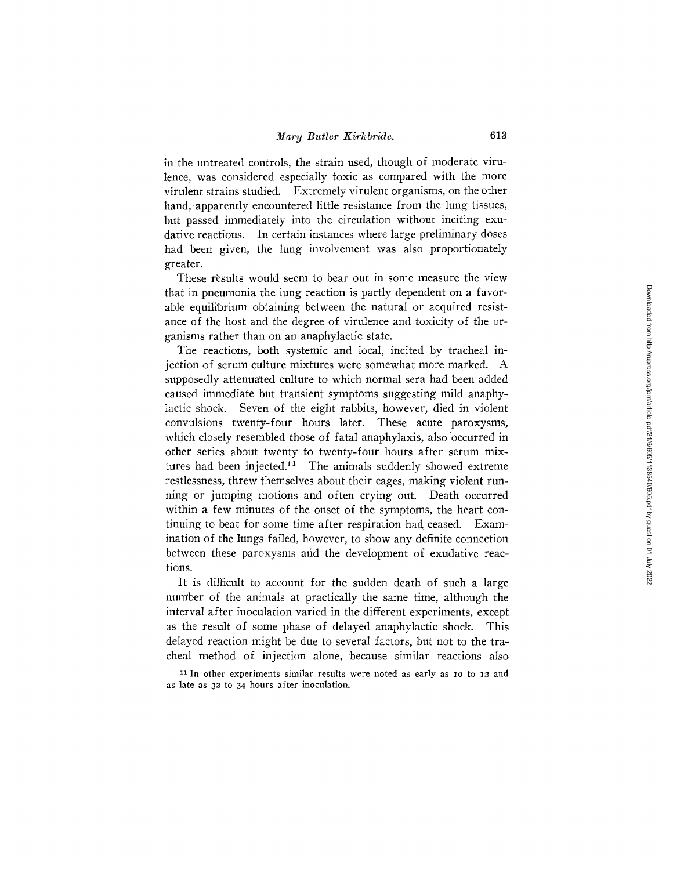in the untreated controls, the strain used, though of moderate virulence, was considered especially toxic as compared with the more virulent strains studied. Extremely virulent organisms, on the other hand, apparently encountered little resistance from the lung tissues, but passed immediately into the circulation without inciting exudative reactions. In certain instances where large preliminary doses had been given, the lung involvement was also proportionately greater.

These results would seem to bear out in some measure the view that in pneumonia the lung reaction is partly dependent on a favorable equilibrium obtaining between the natural or acquired resistance of the host and the degree of virulence and toxicity of the organisms rather than on an anaphylactic state.

The reactions, both systemic and local, incited by tracheal injection of serum culture mixtures were somewhat more marked. A supposedly attenuated culture to which normal sera had been added caused immediate but transient symptoms suggesting mild anaphylactic shock. Seven of the eight rabbits, however, died in violent convulsions twenty-four hours later. These acute paroxysms, which closely resembled those of fatal anaphylaxis, also occurred in other series about twenty to twenty-four hours after serum mixtures had been injected. $11$  The animals suddenly showed extreme restlessness, threw themselves about their cages, making violent running or jumping motions and often crying out. Death occurred within a few minutes of the onset of the symptoms, the heart continuing to beat for some time after respiration had ceased. Examination of the lungs failed, however, to show any definite connection between these paroxysms arid the development of exudative reactions.

It is difficult to account for the sudden death of such a large number of the animals at practically the same time, although the interval after inoculation varied in the different experiments, except as the result of some phase of delayed anaphylactic shock. This delayed reaction might be due to several factors, but not to the tracheal method of injection alone, because similar reactions also

11 In other experiments similar results were noted as early as IO to 12 and as late as 32 to 34 hours after inoculation.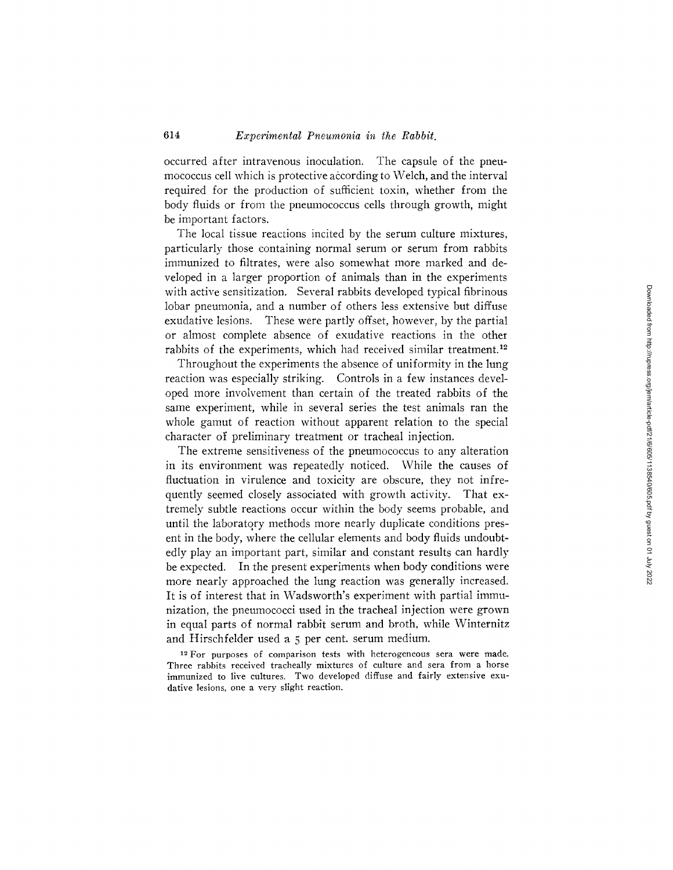occurred after intravenous inoculation. The capsule of the pneumococcus cell which is protective according to Welch, and the interval required for the production of sufficient toxin, whether from the body fluids or from the pneumococcus cells through growth, might be important factors.

The local tissue reactions incited by the serum culture mixtures, particularly those containing normal serum or serum from rabbits immunized to filtrates, were also somewhat more marked and developed in a larger proportion of animals than in the experiments with active sensitization. Several rabbits developed typical fibrinous lobar pneumonia, and a number of others less extensive but diffuse exudative lesions. These were partly offset, however, by the partial or almost complete absence of exudative reactions in the other rabbits of the experiments, which had received similar treatment.<sup>12</sup>

Throughout the experiments the absence of uniformity in the lung reaction was especially striking. Controls in a few instances developed more involvement than certain of the treated rabbits of the same experiment, while in several series the test animals ran the whole gamut of reaction without apparent relation to the special character of preliminary treatment or tracheal injection.

The extreme sensitiveness of the pneumococcus to any alteration in its environment was repeatedly noticed. While the causes of fluctuation in virulence and toxicity are obscure, they not infrequently seemed closely associated with growth activity. That extremely subtle reactions occur within the body seems probable, and until the laboratory methods more nearly duplicate conditions present in the body, where the cellular elements and body fluids undoubtedly play an important part, similar and constant results can hardly be expected. In the present experiments when body conditions were more nearly approached the lung reaction was generally increased. It is of interest that in Wadsworth's experiment with partial immunization, the pneumococci used in the tracheal injection were grown in equal parts of normal rabbit serum and broth, while Winternitz and Hirschfelder used a 5 per cent. serum medium.

<sup>12</sup> For purposes of comparison tests with heterogeneous sera were made. Three rabbits received tracheally mixtures of culture and sera from a horse immunized to live cultures. Two developed diffuse and fairly extensive exudative lesions, one a very slight reaction.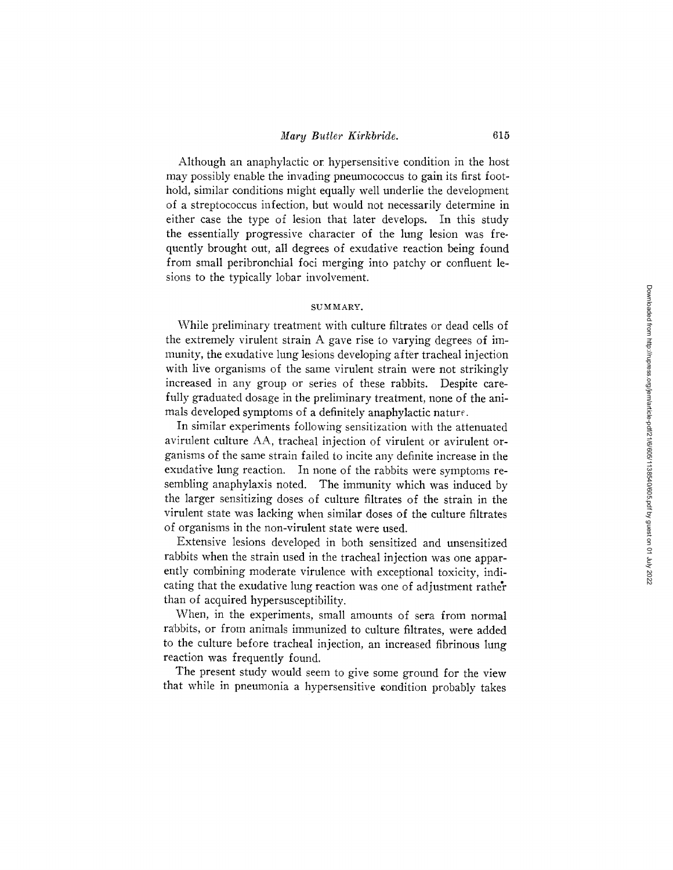Although an anaphylactic or hypersensitive condition in the host may possibly enable the invading pneumococcus to gain its first foothold, similar conditions might equally well underlie the development of a streptococcus infection, but would not necessarily determine in either case the type of lesion that later develops. In this study the essentially progressive character of the lung lesion was frequently brought out, all degrees of exudative reaction being found from small peribronchial foci merging into patchy or confluent lesions to the typically lobar involvement.

### SUMMARY.

While preliminary treatment with culture filtrates or dead cells of the extremely virulent strain A gave rise to varying degrees of immunity, the exudative lung lesions developing after tracheal injection with live organisms of the same virulent strain were not strikingly increased in any group or series of these rabbits. Despite carefully graduated dosage in the preliminary treatment, none of the animals developed symptoms of a definitely anaphylactic nature.

In similar experiments following sensitization with the attenuated avirulent culture AA, tracheal injection of virulent or avirulent organisms of the same strain failed to incite any definite increase in the exudative lung reaction. In none of the rabbits were symptoms resembling anaphylaxis noted. The immunity which was induced by the larger sensitizing doses of culture filtrates of the strain in the virulent state was lacking when similar doses of the culture filtrates of organisms in the non-virulent state were used.

Extensive lesions developed in both sensitized and unsensitized rabbits when the strain used in the tracheal injection was one apparently combining moderate virulence with exceptional toxicity, indicating that the exudative lung reaction was one of adjustment rather than of acquired hypersusceptibility.

When, in the experiments, small amounts of sera from normal rabbits, or from animals immunized to culture filtrates, were added to the culture before tracheal injection, an increased fibrinous lung reaction was frequently found.

The present study would seem to give some ground for the view that while in pneumonia a hypersensitive condition probably takes